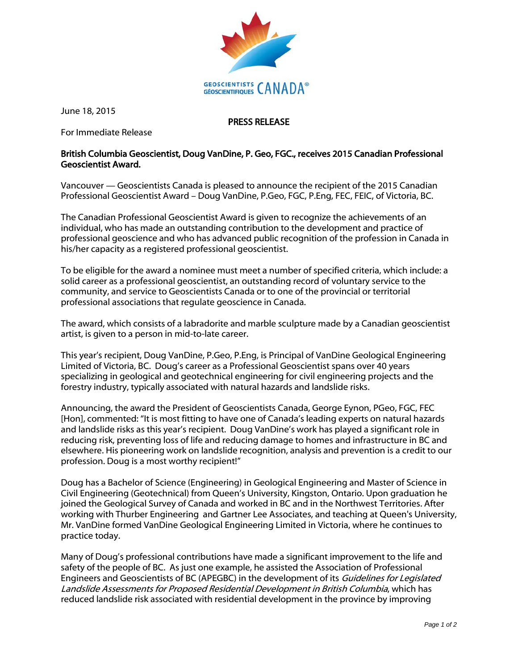

June 18, 2015

PRESS RELEASE

For Immediate Release

## British Columbia Geoscientist, Doug VanDine, P. Geo, FGC., receives 2015 Canadian Professional Geoscientist Award.

Vancouver — Geoscientists Canada is pleased to announce the recipient of the 2015 Canadian Professional Geoscientist Award – Doug VanDine, P.Geo, FGC, P.Eng, FEC, FEIC, of Victoria, BC.

The Canadian Professional Geoscientist Award is given to recognize the achievements of an individual, who has made an outstanding contribution to the development and practice of professional geoscience and who has advanced public recognition of the profession in Canada in his/her capacity as a registered professional geoscientist.

To be eligible for the award a nominee must meet a number of specified criteria, which include: a solid career as a professional geoscientist, an outstanding record of voluntary service to the community, and service to Geoscientists Canada or to one of the provincial or territorial professional associations that regulate geoscience in Canada.

The award, which consists of a labradorite and marble sculpture made by a Canadian geoscientist artist, is given to a person in mid-to-late career.

This year's recipient, Doug VanDine, P.Geo, P.Eng, is Principal of VanDine Geological Engineering Limited of Victoria, BC. Doug's career as a Professional Geoscientist spans over 40 years specializing in geological and geotechnical engineering for civil engineering projects and the forestry industry, typically associated with natural hazards and landslide risks.

Announcing, the award the President of Geoscientists Canada, George Eynon, PGeo, FGC, FEC [Hon], commented: "It is most fitting to have one of Canada's leading experts on natural hazards and landslide risks as this year's recipient. Doug VanDine's work has played a significant role in reducing risk, preventing loss of life and reducing damage to homes and infrastructure in BC and elsewhere. His pioneering work on landslide recognition, analysis and prevention is a credit to our profession. Doug is a most worthy recipient!"

Doug has a Bachelor of Science (Engineering) in Geological Engineering and Master of Science in Civil Engineering (Geotechnical) from Queen's University, Kingston, Ontario. Upon graduation he joined the Geological Survey of Canada and worked in BC and in the Northwest Territories. After working with Thurber Engineering and Gartner Lee Associates, and teaching at Queen's University, Mr. VanDine formed VanDine Geological Engineering Limited in Victoria, where he continues to practice today.

Many of Doug's professional contributions have made a significant improvement to the life and safety of the people of BC. As just one example, he assisted the Association of Professional Engineers and Geoscientists of BC (APEGBC) in the development of its Guidelines for Legislated Landslide Assessments for Proposed Residential Development in British Columbia, which has reduced landslide risk associated with residential development in the province by improving